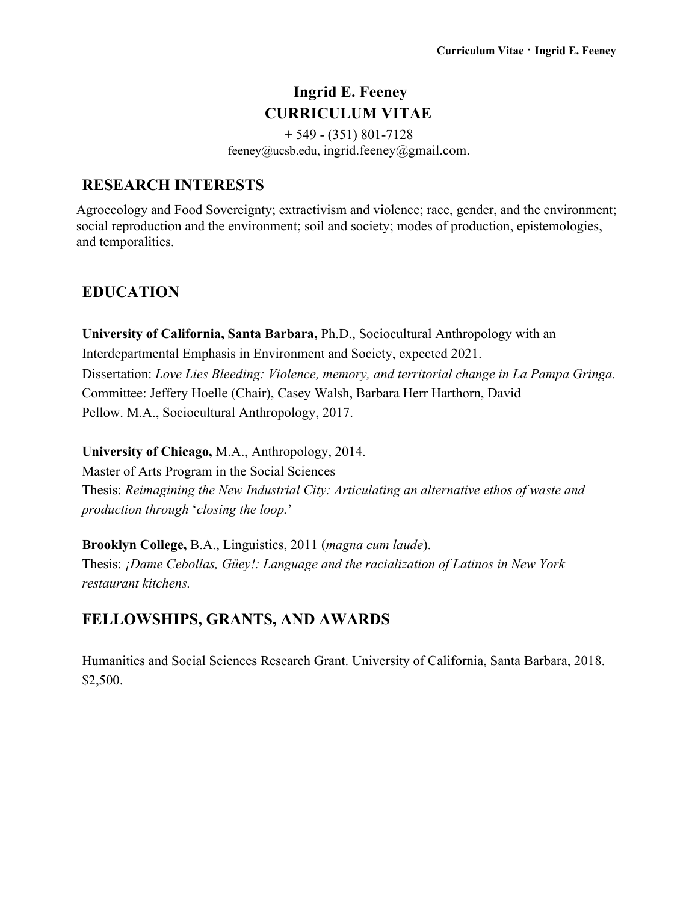# **Ingrid E. Feeney CURRICULUM VITAE**

 $+ 549 - (351) 801 - 7128$ feeney@ucsb.edu, ingrid.feeney@gmail.com.

#### **RESEARCH INTERESTS**

Agroecology and Food Sovereignty; extractivism and violence; race, gender, and the environment; social reproduction and the environment; soil and society; modes of production, epistemologies, and temporalities.

## **EDUCATION**

**University of California, Santa Barbara,** Ph.D., Sociocultural Anthropology with an Interdepartmental Emphasis in Environment and Society, expected 2021. Dissertation: *Love Lies Bleeding: Violence, memory, and territorial change in La Pampa Gringa.* Committee: Jeffery Hoelle (Chair), Casey Walsh, Barbara Herr Harthorn, David Pellow. M.A., Sociocultural Anthropology, 2017.

**University of Chicago,** M.A., Anthropology, 2014.

Master of Arts Program in the Social Sciences Thesis: *Reimagining the New Industrial City: Articulating an alternative ethos of waste and production through* '*closing the loop.*'

**Brooklyn College,** B.A., Linguistics, 2011 (*magna cum laude*). Thesis: *¡Dame Cebollas, Güey!: Language and the racialization of Latinos in New York restaurant kitchens.*

# **FELLOWSHIPS, GRANTS, AND AWARDS**

Humanities and Social Sciences Research Grant. University of California, Santa Barbara, 2018. \$2,500.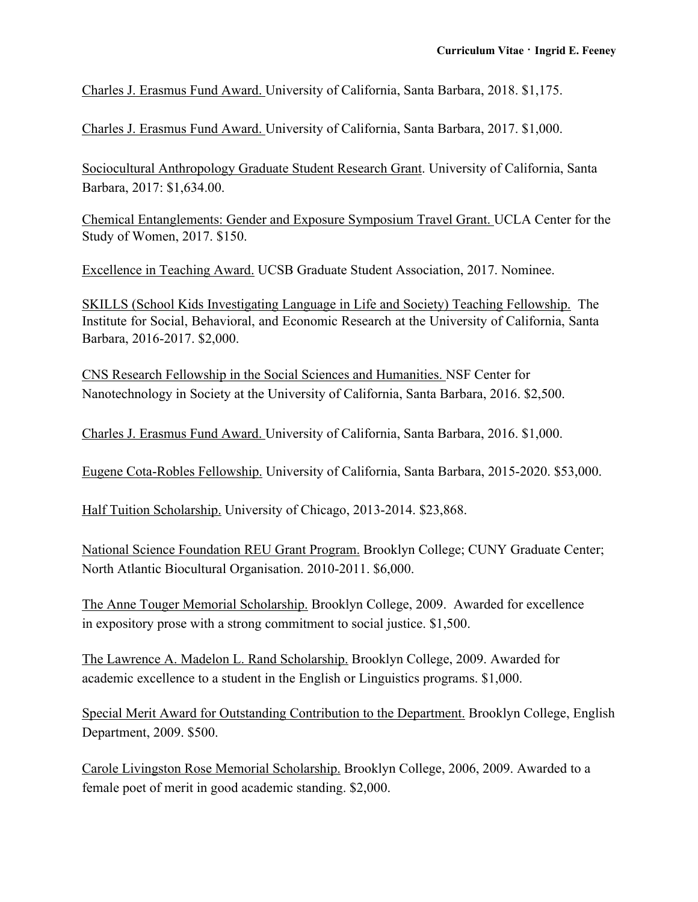Charles J. Erasmus Fund Award. University of California, Santa Barbara, 2018. \$1,175.

Charles J. Erasmus Fund Award. University of California, Santa Barbara, 2017. \$1,000.

Sociocultural Anthropology Graduate Student Research Grant. University of California, Santa Barbara, 2017: \$1,634.00.

Chemical Entanglements: Gender and Exposure Symposium Travel Grant. UCLA Center for the Study of Women, 2017. \$150.

Excellence in Teaching Award. UCSB Graduate Student Association, 2017. Nominee.

SKILLS (School Kids Investigating Language in Life and Society) Teaching Fellowship. The Institute for Social, Behavioral, and Economic Research at the University of California, Santa Barbara, 2016-2017. \$2,000.

CNS Research Fellowship in the Social Sciences and Humanities. NSF Center for Nanotechnology in Society at the University of California, Santa Barbara, 2016. \$2,500.

Charles J. Erasmus Fund Award. University of California, Santa Barbara, 2016. \$1,000.

Eugene Cota-Robles Fellowship. University of California, Santa Barbara, 2015-2020. \$53,000.

Half Tuition Scholarship. University of Chicago, 2013-2014. \$23,868.

National Science Foundation REU Grant Program. Brooklyn College; CUNY Graduate Center; North Atlantic Biocultural Organisation. 2010-2011. \$6,000.

The Anne Touger Memorial Scholarship. Brooklyn College, 2009. Awarded for excellence in expository prose with a strong commitment to social justice. \$1,500.

The Lawrence A. Madelon L. Rand Scholarship. Brooklyn College, 2009. Awarded for academic excellence to a student in the English or Linguistics programs. \$1,000.

Special Merit Award for Outstanding Contribution to the Department. Brooklyn College, English Department, 2009. \$500.

Carole Livingston Rose Memorial Scholarship. Brooklyn College, 2006, 2009. Awarded to a female poet of merit in good academic standing. \$2,000.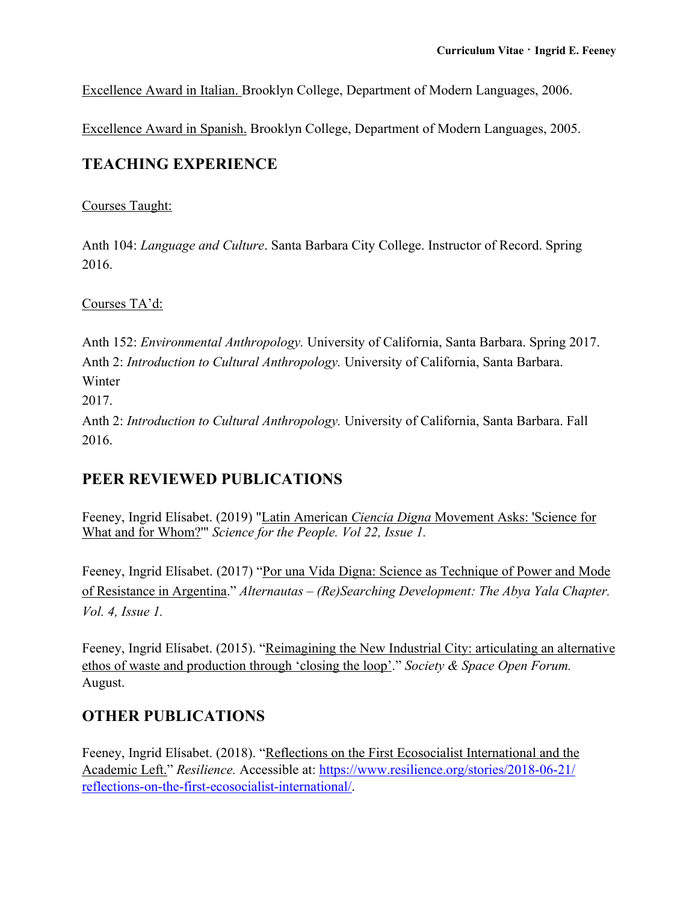Excellence Award in Italian. Brooklyn College, Department of Modern Languages, 2006.

Excellence Award in Spanish. Brooklyn College, Department of Modern Languages, 2005.

### **TEACHING EXPERIENCE**

#### Courses Taught:

Anth 104: *Language and Culture*. Santa Barbara City College. Instructor of Record. Spring 2016.

Courses TA'd:

Anth 152: *Environmental Anthropology.* University of California, Santa Barbara. Spring 2017. Anth 2: *Introduction to Cultural Anthropology.* University of California, Santa Barbara. Winter

2017.

Anth 2: *Introduction to Cultural Anthropology.* University of California, Santa Barbara. Fall 2016.

### **PEER REVIEWED PUBLICATIONS**

Feeney, Ingrid Elísabet. (2019) "Latin American *Ciencia Digna* Movement Asks: 'Science for What and for Whom?'" *Science for the People. Vol 22, Issue 1.*

Feeney, Ingrid Elísabet. (2017) "Por una Vida Digna: Science as Technique of Power and Mode of Resistance in Argentina." *Alternautas – (Re)Searching Development: The Abya Yala Chapter. Vol. 4, Issue 1.*

Feeney, Ingrid Elísabet. (2015). "Reimagining the New Industrial City: articulating an alternative ethos of waste and production through 'closing the loop'." *Society & Space Open Forum.* August.

### **OTHER PUBLICATIONS**

Feeney, Ingrid Elísabet. (2018). "Reflections on the First Ecosocialist International and the Academic Left." *Resilience.* Accessible at: https://www.resilience.org/stories/2018-06-21/ reflections-on-the-first-ecosocialist-international/.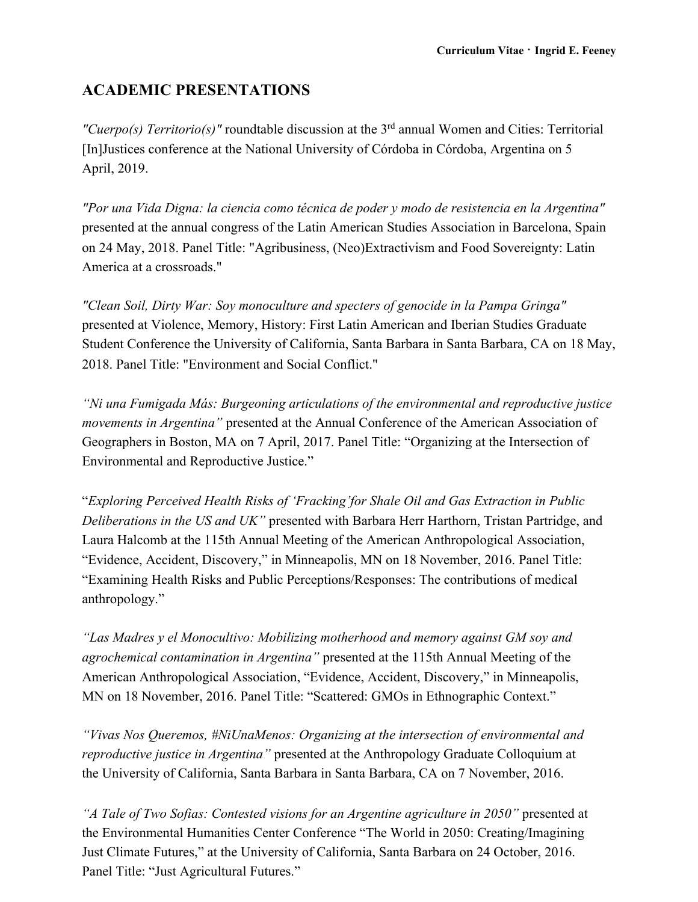## **ACADEMIC PRESENTATIONS**

*"Cuerpo(s) Territorio(s)"* roundtable discussion at the 3rd annual Women and Cities: Territorial [In]Justices conference at the National University of Córdoba in Córdoba, Argentina on 5 April, 2019.

*"Por una Vida Digna: la ciencia como técnica de poder y modo de resistencia en la Argentina"*  presented at the annual congress of the Latin American Studies Association in Barcelona, Spain on 24 May, 2018. Panel Title: "Agribusiness, (Neo)Extractivism and Food Sovereignty: Latin America at a crossroads."

*"Clean Soil, Dirty War: Soy monoculture and specters of genocide in la Pampa Gringa"*  presented at Violence, Memory, History: First Latin American and Iberian Studies Graduate Student Conference the University of California, Santa Barbara in Santa Barbara, CA on 18 May, 2018. Panel Title: "Environment and Social Conflict."

*"Ni una Fumigada Más: Burgeoning articulations of the environmental and reproductive justice movements in Argentina"* presented at the Annual Conference of the American Association of Geographers in Boston, MA on 7 April, 2017. Panel Title: "Organizing at the Intersection of Environmental and Reproductive Justice."

"*Exploring Perceived Health Risks of 'Fracking'for Shale Oil and Gas Extraction in Public Deliberations in the US and UK"* presented with Barbara Herr Harthorn, Tristan Partridge, and Laura Halcomb at the 115th Annual Meeting of the American Anthropological Association, "Evidence, Accident, Discovery," in Minneapolis, MN on 18 November, 2016. Panel Title: "Examining Health Risks and Public Perceptions/Responses: The contributions of medical anthropology."

*"Las Madres y el Monocultivo: Mobilizing motherhood and memory against GM soy and agrochemical contamination in Argentina"* presented at the 115th Annual Meeting of the American Anthropological Association, "Evidence, Accident, Discovery," in Minneapolis, MN on 18 November, 2016. Panel Title: "Scattered: GMOs in Ethnographic Context."

*"Vivas Nos Queremos, #NiUnaMenos: Organizing at the intersection of environmental and reproductive justice in Argentina"* presented at the Anthropology Graduate Colloquium at the University of California, Santa Barbara in Santa Barbara, CA on 7 November, 2016.

*"A Tale of Two Sofias: Contested visions for an Argentine agriculture in 2050"* presented at the Environmental Humanities Center Conference "The World in 2050: Creating/Imagining Just Climate Futures," at the University of California, Santa Barbara on 24 October, 2016. Panel Title: "Just Agricultural Futures."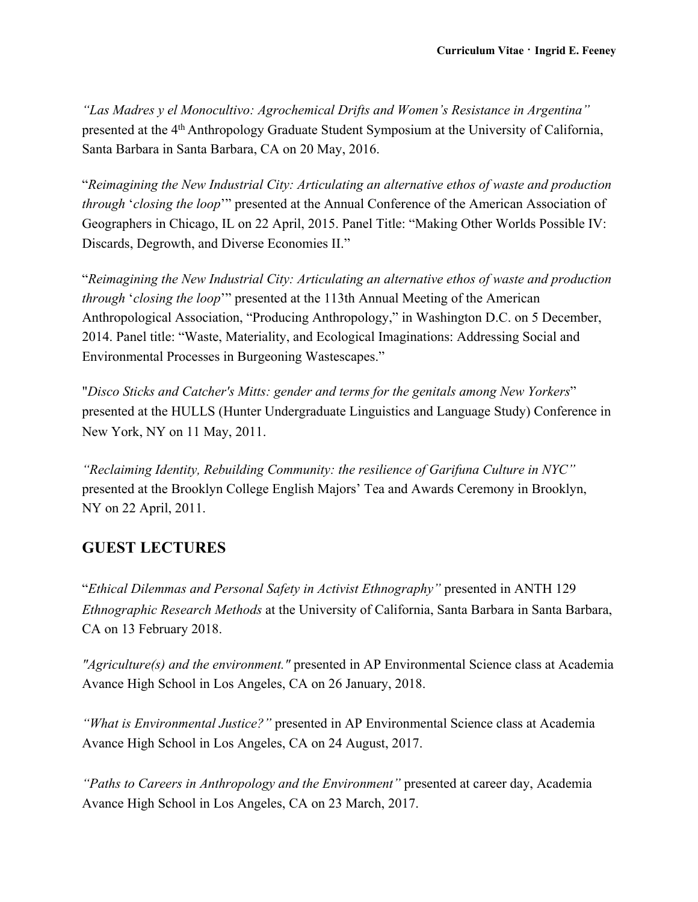*"Las Madres y el Monocultivo: Agrochemical Drifts and Women's Resistance in Argentina"*  presented at the 4th Anthropology Graduate Student Symposium at the University of California, Santa Barbara in Santa Barbara, CA on 20 May, 2016.

"*Reimagining the New Industrial City: Articulating an alternative ethos of waste and production through* '*closing the loop*'" presented at the Annual Conference of the American Association of Geographers in Chicago, IL on 22 April, 2015. Panel Title: "Making Other Worlds Possible IV: Discards, Degrowth, and Diverse Economies II."

"*Reimagining the New Industrial City: Articulating an alternative ethos of waste and production through* '*closing the loop*'" presented at the 113th Annual Meeting of the American Anthropological Association, "Producing Anthropology," in Washington D.C. on 5 December, 2014. Panel title: "Waste, Materiality, and Ecological Imaginations: Addressing Social and Environmental Processes in Burgeoning Wastescapes."

"*Disco Sticks and Catcher's Mitts: gender and terms for the genitals among New Yorkers*" presented at the HULLS (Hunter Undergraduate Linguistics and Language Study) Conference in New York, NY on 11 May, 2011.

*"Reclaiming Identity, Rebuilding Community: the resilience of Garifuna Culture in NYC"*  presented at the Brooklyn College English Majors' Tea and Awards Ceremony in Brooklyn, NY on 22 April, 2011.

### **GUEST LECTURES**

"*Ethical Dilemmas and Personal Safety in Activist Ethnography"* presented in ANTH 129 *Ethnographic Research Methods* at the University of California, Santa Barbara in Santa Barbara, CA on 13 February 2018.

*"Agriculture(s) and the environment."* presented in AP Environmental Science class at Academia Avance High School in Los Angeles, CA on 26 January, 2018.

*"What is Environmental Justice?"* presented in AP Environmental Science class at Academia Avance High School in Los Angeles, CA on 24 August, 2017.

*"Paths to Careers in Anthropology and the Environment"* presented at career day, Academia Avance High School in Los Angeles, CA on 23 March, 2017.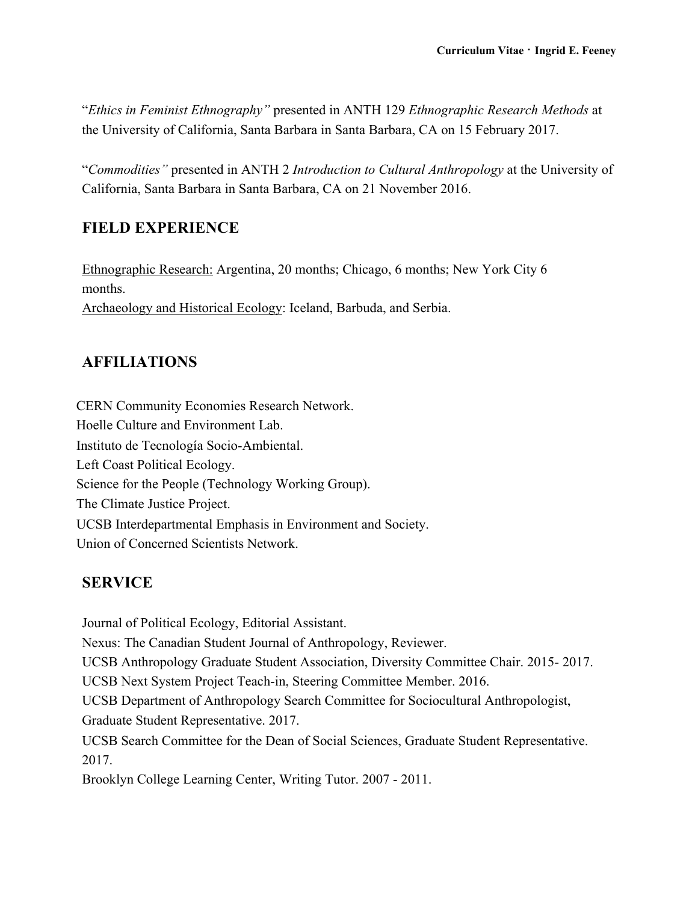"*Ethics in Feminist Ethnography"* presented in ANTH 129 *Ethnographic Research Methods* at the University of California, Santa Barbara in Santa Barbara, CA on 15 February 2017.

"*Commodities"* presented in ANTH 2 *Introduction to Cultural Anthropology* at the University of California, Santa Barbara in Santa Barbara, CA on 21 November 2016.

### **FIELD EXPERIENCE**

Ethnographic Research: Argentina, 20 months; Chicago, 6 months; New York City 6 months. Archaeology and Historical Ecology: Iceland, Barbuda, and Serbia.

### **AFFILIATIONS**

CERN Community Economies Research Network. Hoelle Culture and Environment Lab. Instituto de Tecnología Socio-Ambiental. Left Coast Political Ecology. Science for the People (Technology Working Group). The Climate Justice Project. UCSB Interdepartmental Emphasis in Environment and Society. Union of Concerned Scientists Network.

#### **SERVICE**

Journal of Political Ecology, Editorial Assistant. Nexus: The Canadian Student Journal of Anthropology, Reviewer. UCSB Anthropology Graduate Student Association, Diversity Committee Chair. 2015- 2017. UCSB Next System Project Teach-in, Steering Committee Member. 2016. UCSB Department of Anthropology Search Committee for Sociocultural Anthropologist, Graduate Student Representative. 2017. UCSB Search Committee for the Dean of Social Sciences, Graduate Student Representative. 2017. Brooklyn College Learning Center, Writing Tutor. 2007 - 2011.